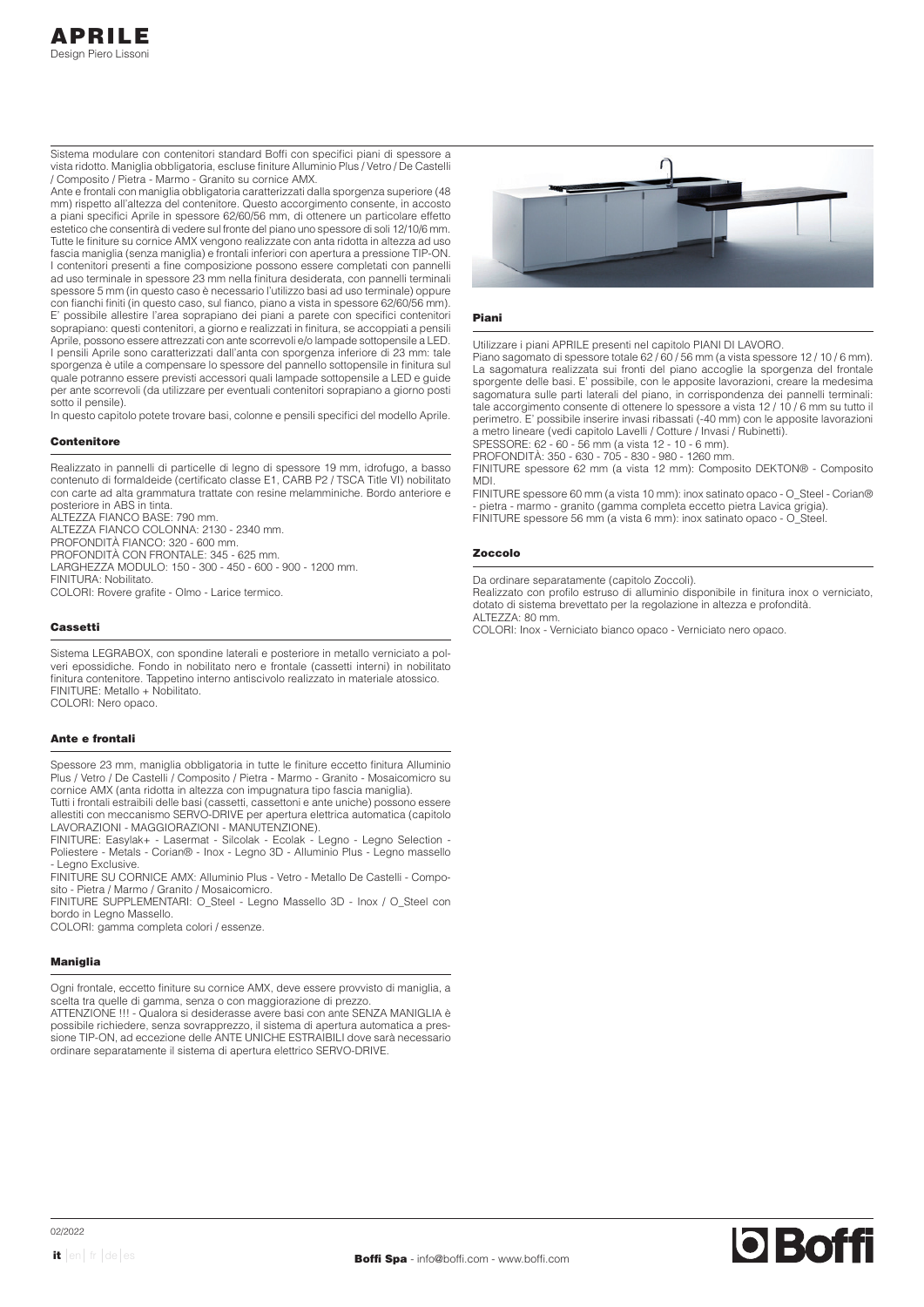Sistema modulare con contenitori standard Boffi con specifici piani di spessore a vista ridotto. Maniglia obbligatoria, escluse finiture Alluminio Plus / Vetro / De Castelli / Composito / Pietra - Marmo - Granito su cornice AMX.

Ante e frontali con maniglia obbligatoria caratterizzati dalla sporgenza superiore (48 mm) rispetto all'altezza del contenitore. Questo accorgimento consente, in accosto a piani specifici Aprile in spessore 62/60/56 mm, di ottenere un particolare effetto estetico che consentirà di vedere sul fronte del piano uno spessore di soli 12/10/6 mm. Tutte le finiture su cornice AMX vengono realizzate con anta ridotta in altezza ad uso fascia maniglia (senza maniglia) e frontali inferiori con apertura a pressione TIP-ON. I contenitori presenti a fine composizione possono essere completati con pannelli ad uso terminale in spessore 23 mm nella finitura desiderata, con pannelli terminali spessore 5 mm (in questo caso è necessario l'utilizzo basi ad uso terminale) oppure con fianchi finiti (in questo caso, sul fianco, piano a vista in spessore 62/60/56 mm). E' possibile allestire l'area soprapiano dei piani a parete con specifici contenitori soprapiano: questi contenitori, a giorno e realizzati in finitura, se accoppiati a pensili Aprile, possono essere attrezzati con ante scorrevoli e/o lampade sottopensile a LED. I pensili Aprile sono caratterizzati dall'anta con sporgenza inferiore di 23 mm: tale sporgenza è utile a compensare lo spessore del pannello sottopensile in finitura sul quale potranno essere previsti accessori quali lampade sottopensile a LED e guide per ante scorrevoli (da utilizzare per eventuali contenitori soprapiano a giorno posti sotto il pensile).

In questo capitolo potete trovare basi, colonne e pensili specifici del modello Aprile.

# **Contenitore**

Realizzato in pannelli di particelle di legno di spessore 19 mm, idrofugo, a basso contenuto di formaldeide (certificato classe E1, CARB P2 / TSCA Title VI) nobilitato con carte ad alta grammatura trattate con resine melamminiche. Bordo anteriore e posteriore in ABS in tinta. ALTEZZA FIANCO BASE: 790 mm. ALTEZZA FIANCO COLONNA: 2130 - 2340 mm. PROFONDITÀ FIANCO: 320 - 600 mm. PROFONDITÀ CON FRONTALE: 345 - 625 mm.

LARGHEZZA MODULO: 150 - 300 - 450 - 600 - 900 - 1200 mm. FINITURA: Nobilitato. COLORI: Rovere grafite - Olmo - Larice termico.

# Cassetti

Sistema LEGRABOX, con spondine laterali e posteriore in metallo verniciato a polveri epossidiche. Fondo in nobilitato nero e frontale (cassetti interni) in nobilitato finitura contenitore. Tappetino interno antiscivolo realizzato in materiale atossico. FINITURE: Metallo + Nobilitato. COLORI: Nero opaco.

#### Ante e frontali

Spessore 23 mm, maniglia obbligatoria in tutte le finiture eccetto finitura Alluminio Plus / Vetro / De Castelli / Composito / Pietra - Marmo - Granito - Mosaicomicro su cornice AMX (anta ridotta in altezza con impugnatura tipo fascia maniglia).

Tutti i frontali estraibili delle basi (cassetti, cassettoni e ante uniche) possono essere allestiti con meccanismo SERVO-DRIVE per apertura elettrica automatica (capitolo LAVORAZIONI - MAGGIORAZIONI - MANUTENZIONE).

FINITURE: Easylak+ - Lasermat - Silcolak - Ecolak - Legno - Legno Selection - Poliestere - Metals - Corian® - Inox - Legno 3D - Alluminio Plus - Legno massello - Legno Exclusive.

FINITURE SU CORNICE AMX: Alluminio Plus - Vetro - Metallo De Castelli - Composito - Pietra / Marmo / Granito / Mosaicomicro.

FINITURE SUPPLEMENTARI: O\_Steel - Legno Massello 3D - Inox / O\_Steel con bordo in Legno Massello.

COLORI: gamma completa colori / essenze.

#### Maniglia

Ogni frontale, eccetto finiture su cornice AMX, deve essere provvisto di maniglia, a scelta tra quelle di gamma, senza o con maggiorazione di prezzo. ATTENZIONE !!! - Qualora si desiderasse avere basi con ante SENZA MANIGLIA è

possibile richiedere, senza sovrapprezzo, il sistema di apertura automatica a pressione TIP-ON, ad eccezione delle ANTE UNICHE ESTRAIBILI dove sarà necessario ordinare separatamente il sistema di apertura elettrico SERVO-DRIVE.



## Piani

Utilizzare i piani APRILE presenti nel capitolo PIANI DI LAVORO.

Piano sagomato di spessore totale 62 / 60 / 56 mm (a vista spessore 12 / 10 / 6 mm). La sagomatura realizzata sui fronti del piano accoglie la sporgenza del frontale sporgente delle basi. E' possibile, con le apposite lavorazioni, creare la medesima sagomatura sulle parti laterali del piano, in corrispondenza dei pannelli terminali: tale accorgimento consente di ottenere lo spessore a vista 12 / 10 / 6 mm su tutto il perimetro. E' possibile inserire invasi ribassati (-40 mm) con le apposite lavorazioni a metro lineare (vedi capitolo Lavelli / Cotture / Invasi / Rubinetti). SPESSORE: 62 - 60 - 56 mm (a vista 12 - 10 - 6 mm).

PROFONDITÀ: 350 - 630 - 705 - 830 - 980 - 1260 mm.

FINITURE spessore 62 mm (a vista 12 mm): Composito DEKTON® - Composito MDI.

FINITURE spessore 60 mm (a vista 10 mm): inox satinato opaco - O\_Steel - Corian® - pietra - marmo - granito (gamma completa eccetto pietra Lavica grigia). FINITURE spessore 56 mm (a vista 6 mm): inox satinato opaco - O\_Steel.

### Zoccolo

Da ordinare separatamente (capitolo Zoccoli).

Realizzato con profilo estruso di alluminio disponibile in finitura inox o verniciato, dotato di sistema brevettato per la regolazione in altezza e profondità. ALTEZZA: 80 mm.

COLORI: Inox - Verniciato bianco opaco - Verniciato nero opaco.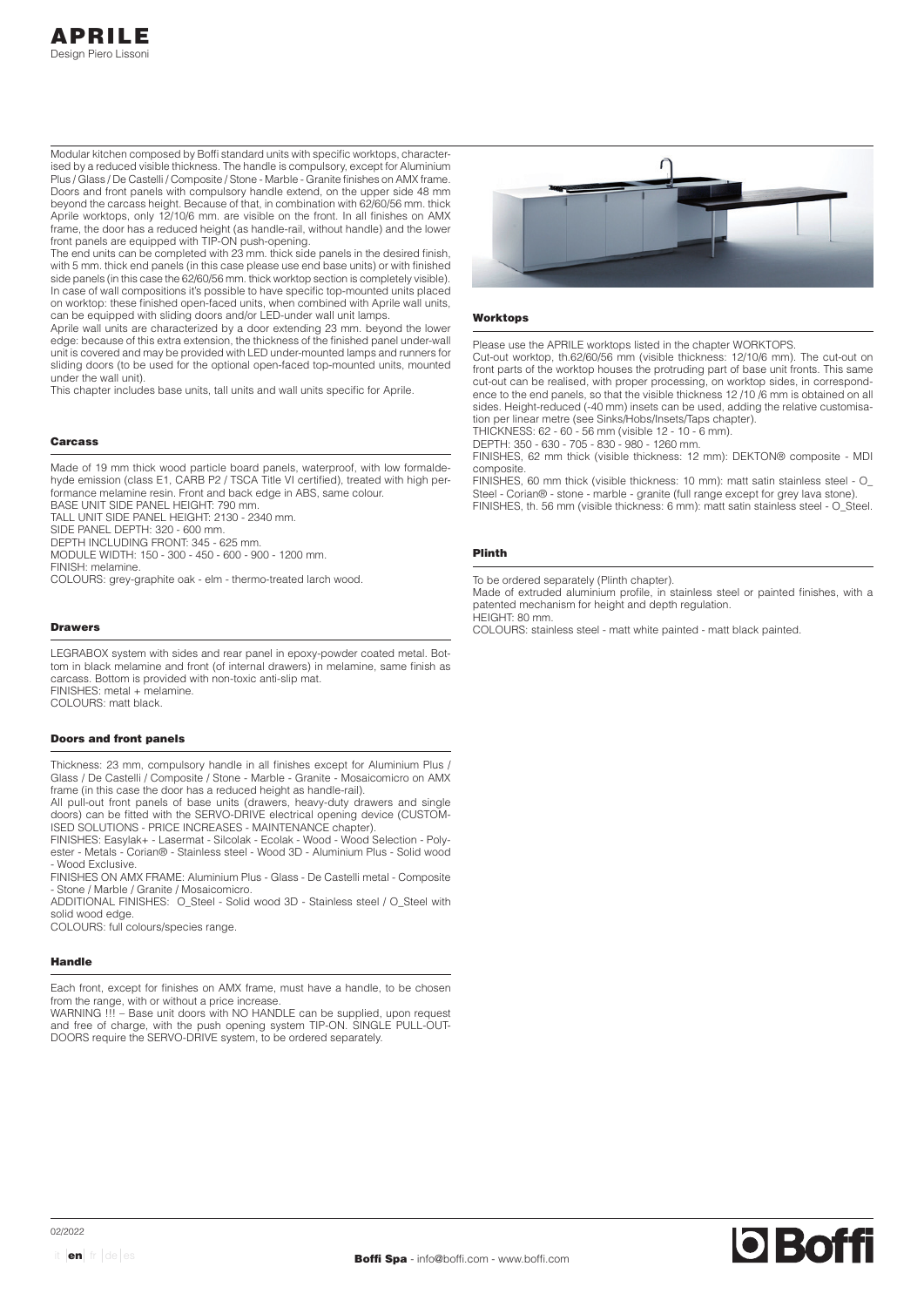Modular kitchen composed by Boffi standard units with specific worktops, characterised by a reduced visible thickness. The handle is compulsory, except for Aluminium Plus / Glass / De Castelli / Composite / Stone - Marble - Granite finishes on AMX frame. Doors and front panels with compulsory handle extend, on the upper side 48 mm beyond the carcass height. Because of that, in combination with 62/60/56 mm. thick Aprile worktops, only 12/10/6 mm. are visible on the front. In all finishes on AMX frame, the door has a reduced height (as handle-rail, without handle) and the lower front panels are equipped with TIP-ON push-opening.

The end units can be completed with 23 mm. thick side panels in the desired finish, with 5 mm. thick end panels (in this case please use end base units) or with finished side panels (in this case the 62/60/56 mm. thick worktop section is completely visible). In case of wall compositions it's possible to have specific top-mounted units placed on worktop: these finished open-faced units, when combined with Aprile wall units, can be equipped with sliding doors and/or LED-under wall unit lamps.

Aprile wall units are characterized by a door extending 23 mm. beyond the lower edge: because of this extra extension, the thickness of the finished panel under-wall unit is covered and may be provided with LED under-mounted lamps and runners for sliding doors (to be used for the optional open-faced top-mounted units, mounted under the wall unit).

This chapter includes base units, tall units and wall units specific for Aprile.

### Carcass

Made of 19 mm thick wood particle board panels, waterproof, with low formaldehyde emission (class E1, CARB P2 / TSCA Title VI certified), treated with high performance melamine resin. Front and back edge in ABS, same colour. BASE UNIT SIDE PANEL HEIGHT: 790 mm

TALL UNIT SIDE PANEL HEIGHT: 2130 - 2340 mm.

SIDE PANEL DEPTH: 320 - 600 mm.

DEPTH INCLUDING FRONT: 345 - 625 mm.

MODULE WIDTH: 150 - 300 - 450 - 600 - 900 - 1200 mm.

FINISH: melamine.

COLOURS: grey-graphite oak - elm - thermo-treated larch wood.

### Drawers

LEGRABOX system with sides and rear panel in epoxy-powder coated metal. Bottom in black melamine and front (of internal drawers) in melamine, same finish as carcass. Bottom is provided with non-toxic anti-slip mat. FINISHES: metal + melamine.

COLOURS: matt black.

### Doors and front panels

Thickness: 23 mm, compulsory handle in all finishes except for Aluminium Plus / Glass / De Castelli / Composite / Stone - Marble - Granite - Mosaicomicro on AMX frame (in this case the door has a reduced height as handle-rail).

All pull-out front panels of base units (drawers, heavy-duty drawers and single doors) can be fitted with the SERVO-DRIVE electrical opening device (CUSTOM-ISED SOLUTIONS - PRICE INCREASES - MAINTENANCE chapter).

FINISHES: Easylak+ - Lasermat - Silcolak - Ecolak - Wood - Wood Selection - Polyester - Metals - Corian® - Stainless steel - Wood 3D - Aluminium Plus - Solid wood - Wood Exclusive.

FINISHES ON AMX FRAME: Aluminium Plus - Glass - De Castelli metal - Composite - Stone / Marble / Granite / Mosaicomicro.

ADDITIONAL FINISHES: O\_Steel - Solid wood 3D - Stainless steel / O\_Steel with solid wood edge

COLOURS: full colours/species range.

#### Handle

Each front, except for finishes on AMX frame, must have a handle, to be chosen from the range, with or without a price increase

WARNING !!! – Base unit doors with NO HANDLE can be supplied, upon request and free of charge, with the push opening system TIP-ON. SINGLE PULL-OUT-DOORS require the SERVO-DRIVE system, to be ordered separately.



#### **Worktops**

Please use the APRILE worktops listed in the chapter WORKTOPS.

Cut-out worktop, th.62/60/56 mm (visible thickness: 12/10/6 mm). The cut-out on front parts of the worktop houses the protruding part of base unit fronts. This same cut-out can be realised, with proper processing, on worktop sides, in correspondence to the end panels, so that the visible thickness 12 /10 /6 mm is obtained on all sides. Height-reduced (-40 mm) insets can be used, adding the relative customisation per linear metre (see Sinks/Hobs/Insets/Taps chapter).

THICKNESS: 62 - 60 - 56 mm (visible 12 - 10 - 6 mm). DEPTH: 350 - 630 - 705 - 830 - 980 - 1260 mm.

FINISHES, 62 mm thick (visible thickness: 12 mm): DEKTON® composite - MDI composite.

FINISHES, 60 mm thick (visible thickness: 10 mm): matt satin stainless steel - O\_ Steel - Corian® - stone - marble - granite (full range except for grey lava stone). FINISHES, th. 56 mm (visible thickness: 6 mm): matt satin stainless steel - O\_Steel.

# Plinth

To be ordered separately (Plinth chapter).

Made of extruded aluminium profile, in stainless steel or painted finishes, with a patented mechanism for height and depth regulation. HEIGHT: 80 mm.

COLOURS: stainless steel - matt white painted - matt black painted.

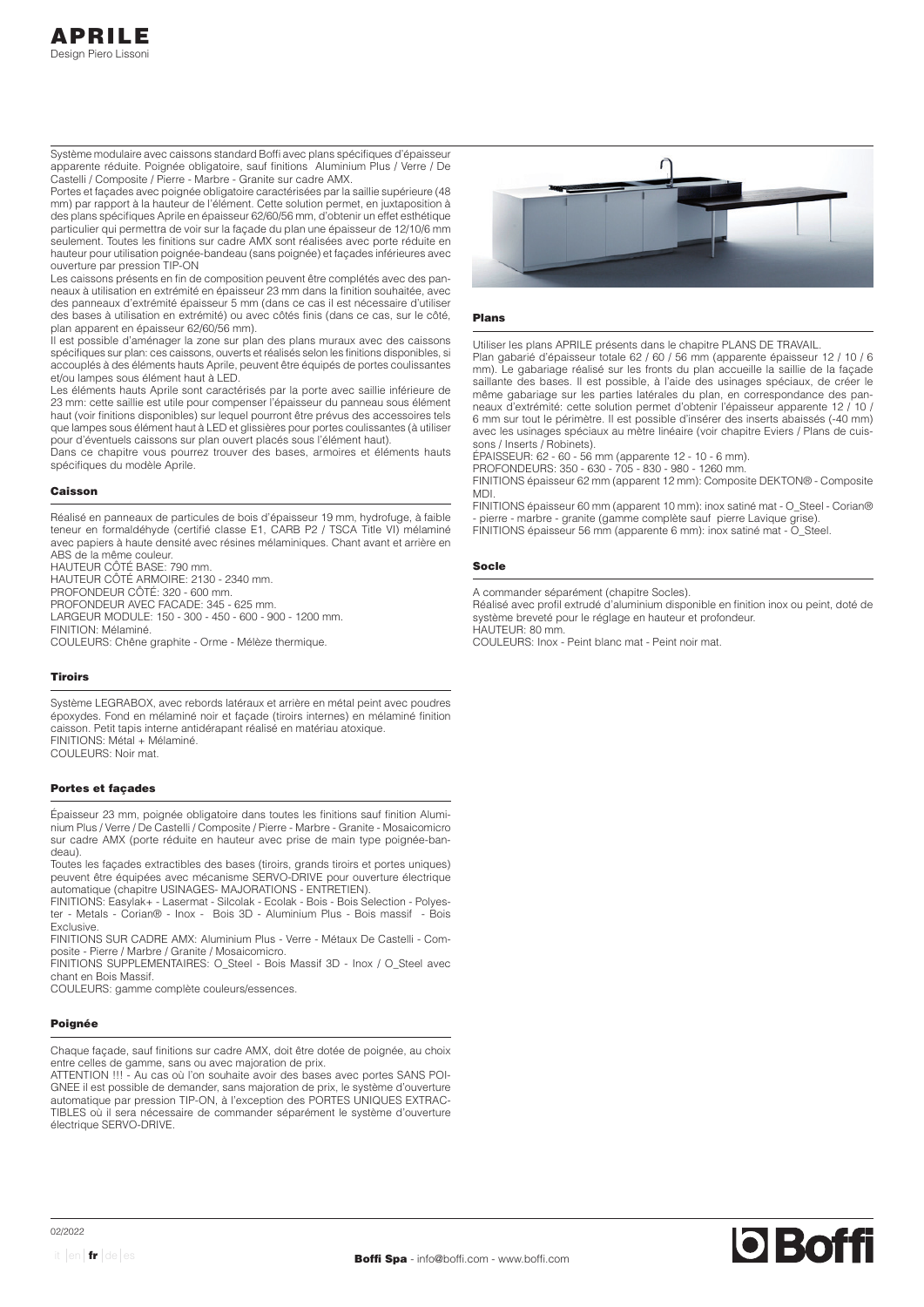Système modulaire avec caissons standard Boffi avec plans spécifiques d'épaisseur apparente réduite. Poignée obligatoire, sauf finitions Aluminium Plus / Verre / De Castelli / Composite / Pierre - Marbre - Granite sur cadre AMX.

Portes et façades avec poignée obligatoire caractérisées par la saillie supérieure (48 mm) par rapport à la hauteur de l'élément. Cette solution permet, en juxtaposition à des plans spécifiques Aprile en épaisseur 62/60/56 mm, d'obtenir un effet esthétique particulier qui permettra de voir sur la façade du plan une épaisseur de 12/10/6 mm seulement. Toutes les finitions sur cadre AMX sont réalisées avec porte réduite en hauteur pour utilisation poignée-bandeau (sans poignée) et façades inférieures avec ouverture par pression TIP-ON

Les caissons présents en fin de composition peuvent être complétés avec des panneaux à utilisation en extrémité en épaisseur 23 mm dans la finition souhaitée, avec des panneaux d'extrémité épaisseur 5 mm (dans ce cas il est nécessaire d'utiliser des bases à utilisation en extrémité) ou avec côtés finis (dans ce cas, sur le côté, plan apparent en épaisseur 62/60/56 mm).

Il est possible d'aménager la zone sur plan des plans muraux avec des caissons spécifiques sur plan: ces caissons, ouverts et réalisés selon les finitions disponibles, si accouplés à des éléments hauts Aprile, peuvent être équipés de portes coulissantes et/ou lampes sous élément haut à LED.

Les éléments hauts Aprile sont caractérisés par la porte avec saillie inférieure de 23 mm: cette saillie est utile pour compenser l'épaisseur du panneau sous élément haut (voir finitions disponibles) sur lequel pourront être prévus des accessoires tels que lampes sous élément haut à LED et glissières pour portes coulissantes (à utiliser pour d'éventuels caissons sur plan ouvert placés sous l'élément haut).

Dans ce chapitre vous pourrez trouver des bases, armoires et éléments hauts spécifiques du modèle Aprile.

## Caisson

Réalisé en panneaux de particules de bois d'épaisseur 19 mm, hydrofuge, à faible teneur en formaldéhyde (certifié classe E1, CARB P2 / TSCA Title VI) mélaminé avec papiers à haute densité avec résines mélaminiques. Chant avant et arrière en ABS de la même couleur.

HAUTEUR CÔTÉ BASE: 790 mm. HAUTEUR CÔTÉ ARMOIRE: 2130 - 2340 mm.

PROFONDEUR CÔTÉ: 320 - 600 mm.

PROFONDEUR AVEC FACADE: 345 - 625 mm

LARGEUR MODULE: 150 - 300 - 450 - 600 - 900 - 1200 mm. FINITION: Mélaminé.

COULEURS: Chêne graphite - Orme - Mélèze thermique.

## Tiroirs

Système LEGRABOX, avec rebords latéraux et arrière en métal peint avec poudres époxydes. Fond en mélaminé noir et façade (tiroirs internes) en mélaminé finition caisson. Petit tapis interne antidérapant réalisé en matériau atoxique. FINITIONS: Métal + Mélaminé.

COULEURS: Noir mat.

# Portes et façades

Épaisseur 23 mm, poignée obligatoire dans toutes les finitions sauf finition Aluminium Plus / Verre / De Castelli / Composite / Pierre - Marbre - Granite - Mosaicomicro sur cadre AMX (porte réduite en hauteur avec prise de main type poignée-bandeau)

Toutes les façades extractibles des bases (tiroirs, grands tiroirs et portes uniques) peuvent être équipées avec mécanisme SERVO-DRIVE pour ouverture électrique automatique (chapitre USINAGES- MAJORATIONS - ENTRETIEN).

FINITIONS: Easylak+ - Lasermat - Silcolak - Ecolak - Bois - Bois Selection - Polyester - Metals - Corian® - Inox - Bois 3D - Aluminium Plus - Bois massif - Bois Exclusive.

FINITIONS SUR CADRE AMX: Aluminium Plus - Verre - Métaux De Castelli - Composite - Pierre / Marbre / Granite / Mosaicomicro.

FINITIONS SUPPLEMENTAIRES: O\_Steel - Bois Massif 3D - Inox / O\_Steel avec chant en Bois Massif.

COULEURS: gamme complète couleurs/essences.

### Poignée

Chaque façade, sauf finitions sur cadre AMX, doit être dotée de poignée, au choix entre celles de gamme, sans ou avec majoration de prix.

ATTENTION !!! - Au cas où l'on souhaite avoir des bases avec portes SANS POI-GNEE il est possible de demander, sans majoration de prix, le système d'ouverture automatique par pression TIP-ON, à l'exception des PORTES UNIQUES EXTRAC-TIBLES où il sera nécessaire de commander séparément le système d'ouverture électrique SERVO-DRIVE.



### Plans

Utiliser les plans APRILE présents dans le chapitre PLANS DE TRAVAIL.

Plan gabarié d'épaisseur totale 62 / 60 / 56 mm (apparente épaisseur 12 / 10 / 6 mm). Le gabariage réalisé sur les fronts du plan accueille la saillie de la façade saillante des bases. Il est possible, à l'aide des usinages spéciaux, de créer le même gabariage sur les parties latérales du plan, en correspondance des panneaux d'extrémité: cette solution permet d'obtenir l'épaisseur apparente 12 / 10 / 6 mm sur tout le périmètre. Il est possible d'insérer des inserts abaissés (-40 mm) avec les usinages spéciaux au mètre linéaire (voir chapitre Eviers / Plans de cuissons / Inserts / Robinets).

ÉPAISSEUR: 62 - 60 - 56 mm (apparente 12 - 10 - 6 mm).

PROFONDEURS: 350 - 630 - 705 - 830 - 980 - 1260 mm. FINITIONS épaisseur 62 mm (apparent 12 mm): Composite DEKTON® - Composite MDI.

FINITIONS épaisseur 60 mm (apparent 10 mm): inox satiné mat - O\_Steel - Corian® - pierre - marbre - granite (gamme complète sauf pierre Lavique grise).

FINITIONS épaisseur 56 mm (apparente 6 mm): inox satiné mat - O\_Steel.

# Socle

A commander séparément (chapitre Socles).

Réalisé avec profil extrudé d'aluminium disponible en finition inox ou peint, doté de système breveté pour le réglage en hauteur et profondeur.

HAUTEUR: 80 mm. COULEURS: Inox - Peint blanc mat - Peint noir mat.

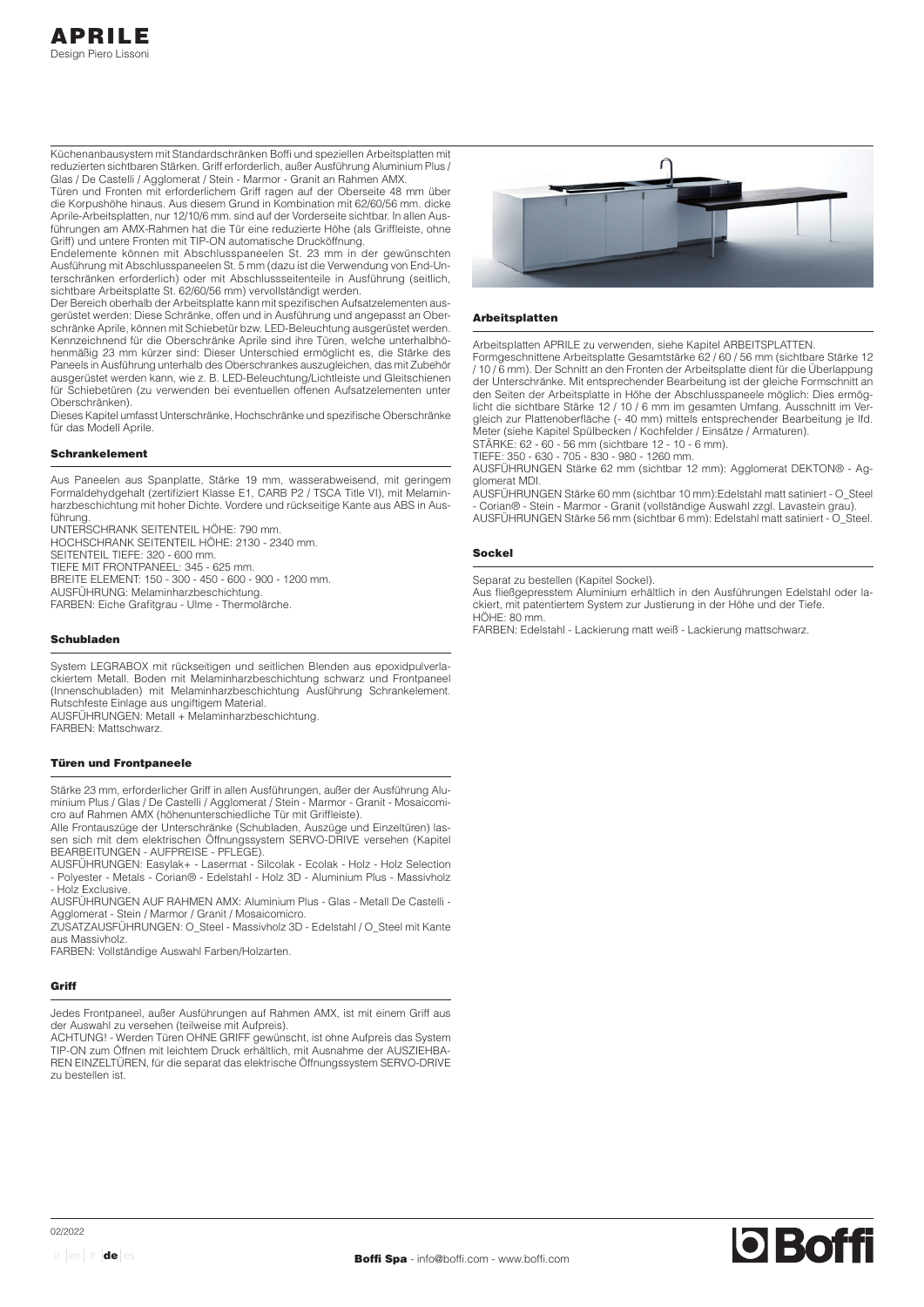Küchenanbausystem mit Standardschränken Boffi und speziellen Arbeitsplatten mit reduzierten sichtbaren Stärken. Griff erforderlich, außer Ausführung Aluminium Plus / Glas / De Castelli / Agglomerat / Stein - Marmor - Granit an Rahmen AMX.

Türen und Fronten mit erforderlichem Griff ragen auf der Oberseite 48 mm über die Korpushöhe hinaus. Aus diesem Grund in Kombination mit 62/60/56 mm. dicke Aprile-Arbeitsplatten, nur 12/10/6 mm. sind auf der Vorderseite sichtbar. In allen Ausführungen am AMX-Rahmen hat die Tür eine reduzierte Höhe (als Griffleiste, ohne Griff) und untere Fronten mit TIP-ON automatische Drucköffnung.

Endelemente können mit Abschlusspaneelen St. 23 mm in der gewünschten Ausführung mit Abschlusspaneelen St. 5 mm (dazu ist die Verwendung von End-Unterschränken erforderlich) oder mit Abschlussseitenteile in Ausführung (seitlich, sichtbare Arbeitsplatte St. 62/60/56 mm) vervollständigt werden.

Der Bereich oberhalb der Arbeitsplatte kann mit spezifischen Aufsatzelementen ausgerüstet werden: Diese Schränke, offen und in Ausführung und angepasst an Oberschränke Aprile, können mit Schiebetür bzw. LED-Beleuchtung ausgerüstet werden. Kennzeichnend für die Oberschränke Aprile sind ihre Türen, welche unterhalbhöhenmäßig 23 mm kürzer sind: Dieser Unterschied ermöglicht es, die Stärke des Paneels in Ausführung unterhalb des Oberschrankes auszugleichen, das mit Zubehör ausgerüstet werden kann, wie z. B. LED-Beleuchtung/Lichtleiste und Gleitschienen für Schiebetüren (zu verwenden bei eventuellen offenen Aufsatzelementen unter Oberschränken).

Dieses Kapitel umfasst Unterschränke, Hochschränke und spezifische Oberschränke für das Modell Aprile.

# Schrankelement

Aus Paneelen aus Spanplatte, Stärke 19 mm, wasserabweisend, mit geringem Formaldehydgehalt (zertifiziert Klasse E1, CARB P2 / TSCA Title VI), mit Melaminharzbeschichtung mit hoher Dichte. Vordere und rückseitige Kante aus ABS in Ausführung.

UNTERSCHRANK SEITENTEIL HÖHE: 790 mm. HOCHSCHRANK SEITENTEIL HÖHE: 2130 - 2340 mm. SEITENTEIL TIEFE: 320 - 600 mm. TIEFE MIT FRONTPANEEL: 345 - 625 mm. BREITE ELEMENT: 150 - 300 - 450 - 600 - 900 - 1200 mm. AUSFÜHRUNG: Melaminharzbeschichtung. FARBEN: Eiche Grafitgrau - Ulme - Thermolärche.

#### Schubladen

System LEGRABOX mit rückseitigen und seitlichen Blenden aus epoxidpulverlackiertem Metall. Boden mit Melaminharzbeschichtung schwarz und Frontpaneel (Innenschubladen) mit Melaminharzbeschichtung Ausführung Schrankelement. Rutschfeste Einlage aus ungiftigem Material. AUSFÜHRUNGEN: Metall + Melaminharzbeschichtung. FARBEN: Mattschwarz.

# Türen und Frontpaneele

Stärke 23 mm, erforderlicher Griff in allen Ausführungen, außer der Ausführung Aluminium Plus / Glas / De Castelli / Agglomerat / Stein - Marmor - Granit - Mosaicomicro auf Rahmen AMX (höhenunterschiedliche Tür mit Griffleiste).

Alle Frontauszüge der Unterschränke (Schubladen, Auszüge und Einzeltüren) lassen sich mit dem elektrischen Öffnungssystem SERVO-DRIVE versehen (Kapitel BEARBEITUNGEN - AUFPREISE - PFLEGE).

AUSFÜHRUNGEN: Easylak+ - Lasermat - Silcolak - Ecolak - Holz - Holz Selection - Polyester - Metals - Corian® - Edelstahl - Holz 3D - Aluminium Plus - Massivholz - Holz Exclusive

AUSFÜHRUNGEN AUF RAHMEN AMX: Aluminium Plus - Glas - Metall De Castelli - Agglomerat - Stein / Marmor / Granit / Mosaicomicro.

ZUSATZAUSFÜHRUNGEN: O\_Steel - Massivholz 3D - Edelstahl / O\_Steel mit Kante aus Massivholz.

FARBEN: Vollständige Auswahl Farben/Holzarten.

#### Griff

Jedes Frontpaneel, außer Ausführungen auf Rahmen AMX, ist mit einem Griff aus der Auswahl zu versehen (teilweise mit Aufpreis).

ACHTUNG! - Werden Türen OHNE GRIFF gewünscht, ist ohne Aufpreis das System TIP-ON zum Öffnen mit leichtem Druck erhältlich, mit Ausnahme der AUSZIEHBA-REN EINZELTÜREN, für die separat das elektrische Öffnungssystem SERVO-DRIVE zu bestellen ist.



### Arbeitsplatten

Arbeitsplatten APRILE zu verwenden, siehe Kapitel ARBEITSPLATTEN.

Formgeschnittene Arbeitsplatte Gesamtstärke 62 / 60 / 56 mm (sichtbare Stärke 12 / 10 / 6 mm). Der Schnitt an den Fronten der Arbeitsplatte dient für die Überlappung der Unterschränke. Mit entsprechender Bearbeitung ist der gleiche Formschnitt an den Seiten der Arbeitsplatte in Höhe der Abschlusspaneele möglich: Dies ermöglicht die sichtbare Stärke 12 / 10 / 6 mm im gesamten Umfang. Ausschnitt im Vergleich zur Plattenoberfläche (- 40 mm) mittels entsprechender Bearbeitung je lfd. Meter (siehe Kapitel Spülbecken / Kochfelder / Einsätze / Armaturen). STÄRKE: 62 - 60 - 56 mm (sichtbare 12 - 10 - 6 mm).

TIEFE: 350 - 630 - 705 - 830 - 980 - 1260 mm.

AUSFÜHRUNGEN Stärke 62 mm (sichtbar 12 mm): Agglomerat DEKTON® - Agglomerat MDI.

AUSFÜHRUNGEN Stärke 60 mm (sichtbar 10 mm):Edelstahl matt satiniert - O\_Steel - Corian® - Stein - Marmor - Granit (vollständige Auswahl zzgl. Lavastein grau). AUSFÜHRUNGEN Stärke 56 mm (sichtbar 6 mm): Edelstahl matt satiniert - O\_Steel.

# Sockel

Separat zu bestellen (Kapitel Sockel).

Aus fließgepresstem Aluminium erhältlich in den Ausführungen Edelstahl oder lackiert, mit patentiertem System zur Justierung in der Höhe und der Tiefe. HÖHE: 80 mm.

FARBEN: Edelstahl - Lackierung matt weiß - Lackierung mattschwarz.